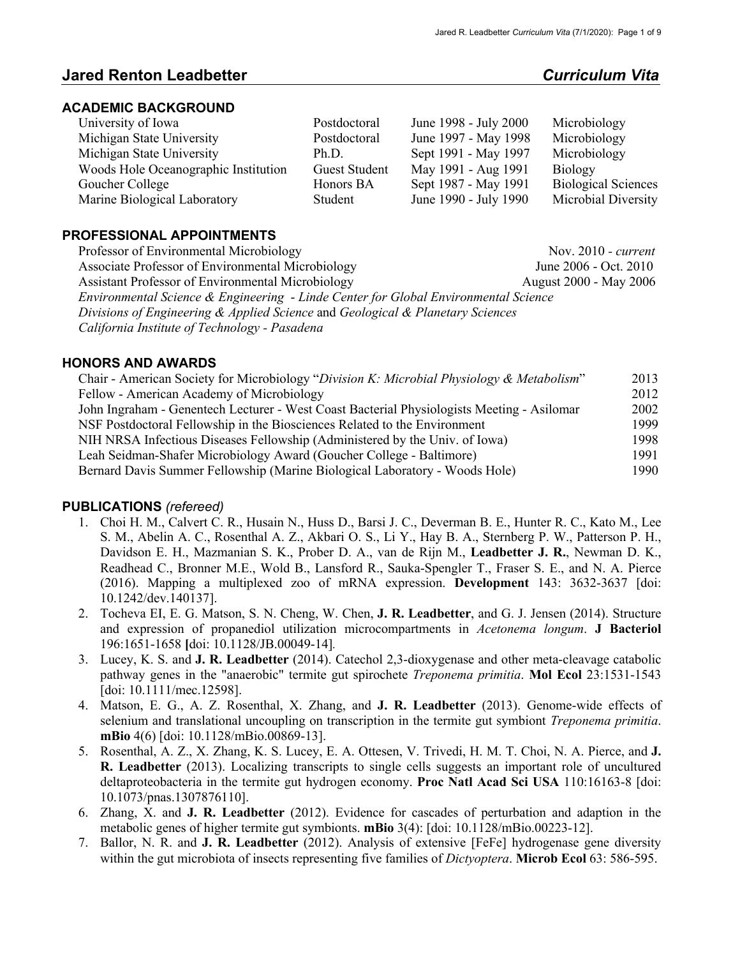# **Jared Renton Leadbetter** *Curriculum Vita*

### **ACADEMIC BACKGROUND**

| University of Iowa                   | Postdoctoral         | June 1998 - July 2000 | Microbiology               |
|--------------------------------------|----------------------|-----------------------|----------------------------|
| Michigan State University            | Postdoctoral         | June 1997 - May 1998  | Microbiology               |
| Michigan State University            | Ph.D.                | Sept 1991 - May 1997  | Microbiology               |
| Woods Hole Oceanographic Institution | <b>Guest Student</b> | May 1991 - Aug 1991   | <b>Biology</b>             |
| Goucher College                      | Honors BA            | Sept 1987 - May 1991  | <b>Biological Sciences</b> |
| Marine Biological Laboratory         | Student              | June 1990 - July 1990 | Microbial Diversity        |

## **PROFESSIONAL APPOINTMENTS**

Professor of Environmental Microbiology Nov. 2010 *- current* Associate Professor of Environmental Microbiology June 2006 - Oct. 2010 Assistant Professor of Environmental Microbiology **August 2000 - May 2006** *Environmental Science & Engineering* - *Linde Center for Global Environmental Science Divisions of Engineering & Applied Science* and *Geological & Planetary Sciences California Institute of Technology - Pasadena*

### **HONORS AND AWARDS**

| 2013 |
|------|
| 2012 |
| 2002 |
| 1999 |
| 1998 |
| 1991 |
| 1990 |
|      |

## **PUBLICATIONS** *(refereed)*

- 1. Choi H. M., Calvert C. R., Husain N., Huss D., Barsi J. C., Deverman B. E., Hunter R. C., Kato M., Lee S. M., Abelin A. C., Rosenthal A. Z., Akbari O. S., Li Y., Hay B. A., Sternberg P. W., Patterson P. H., Davidson E. H., Mazmanian S. K., Prober D. A., van de Rijn M., **Leadbetter J. R.**, Newman D. K., Readhead C., Bronner M.E., Wold B., Lansford R., Sauka-Spengler T., Fraser S. E., and N. A. Pierce (2016). Mapping a multiplexed zoo of mRNA expression. **Development** 143: 3632-3637 [doi: 10.1242/dev.140137].
- 2. Tocheva EI, E. G. Matson, S. N. Cheng, W. Chen, **J. R. Leadbetter**, and G. J. Jensen (2014). Structure and expression of propanediol utilization microcompartments in *Acetonema longum*. **J Bacteriol**  196:1651-1658 **[**doi: 10.1128/JB.00049-14]*.*
- 3. Lucey, K. S. and **J. R. Leadbetter** (2014). Catechol 2,3-dioxygenase and other meta-cleavage catabolic pathway genes in the "anaerobic" termite gut spirochete *Treponema primitia*. **Mol Ecol** 23:1531-1543 [doi: 10.1111/mec.12598].
- 4. Matson, E. G., A. Z. Rosenthal, X. Zhang, and **J. R. Leadbetter** (2013). Genome-wide effects of selenium and translational uncoupling on transcription in the termite gut symbiont *Treponema primitia*. **mBio** 4(6) [doi: 10.1128/mBio.00869-13].
- 5. Rosenthal, A. Z., X. Zhang, K. S. Lucey, E. A. Ottesen, V. Trivedi, H. M. T. Choi, N. A. Pierce, and **J. R. Leadbetter** (2013). Localizing transcripts to single cells suggests an important role of uncultured deltaproteobacteria in the termite gut hydrogen economy. **Proc Natl Acad Sci USA** 110:16163-8 [doi: 10.1073/pnas.1307876110].
- 6. Zhang, X. and **J. R. Leadbetter** (2012). Evidence for cascades of perturbation and adaption in the metabolic genes of higher termite gut symbionts. **mBio** 3(4): [doi: 10.1128/mBio.00223-12].
- 7. Ballor, N. R. and **J. R. Leadbetter** (2012). Analysis of extensive [FeFe] hydrogenase gene diversity within the gut microbiota of insects representing five families of *Dictyoptera*. **Microb Ecol** 63: 586-595.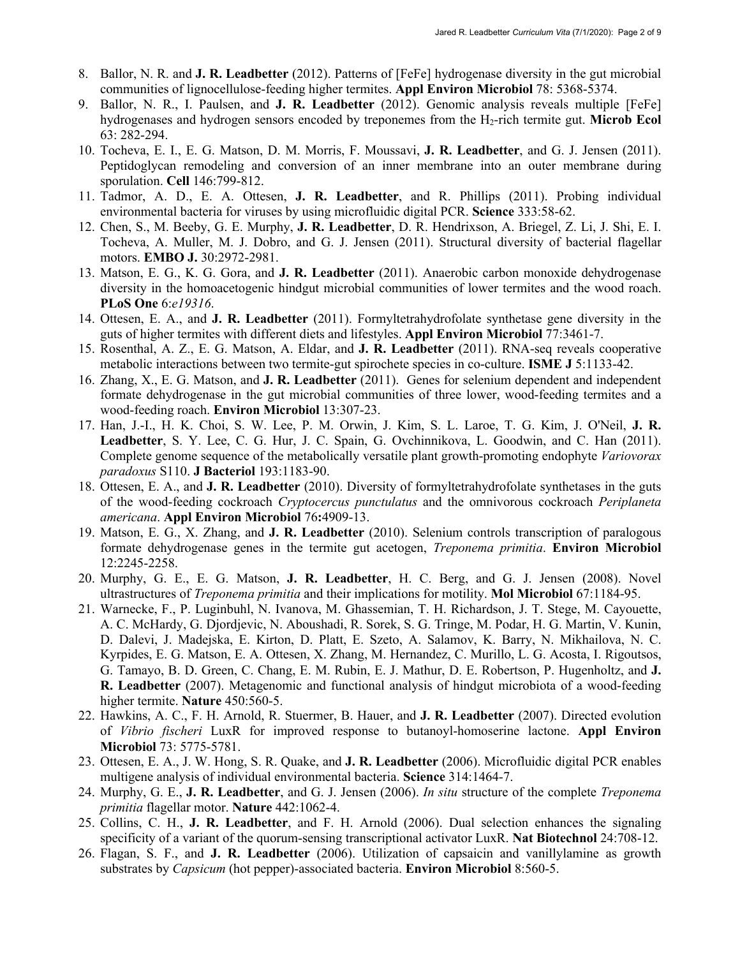- 8. Ballor, N. R. and **J. R. Leadbetter** (2012). Patterns of [FeFe] hydrogenase diversity in the gut microbial communities of lignocellulose-feeding higher termites. **Appl Environ Microbiol** 78: 5368-5374.
- 9. Ballor, N. R., I. Paulsen, and **J. R. Leadbetter** (2012). Genomic analysis reveals multiple [FeFe] hydrogenases and hydrogen sensors encoded by treponemes from the H2-rich termite gut. **Microb Ecol**  63: 282-294.
- 10. Tocheva, E. I., E. G. Matson, D. M. Morris, F. Moussavi, **J. R. Leadbetter**, and G. J. Jensen (2011). Peptidoglycan remodeling and conversion of an inner membrane into an outer membrane during sporulation. **Cell** 146:799-812.
- 11. Tadmor, A. D., E. A. Ottesen, **J. R. Leadbetter**, and R. Phillips (2011). Probing individual environmental bacteria for viruses by using microfluidic digital PCR. **Science** 333:58-62.
- 12. Chen, S., M. Beeby, G. E. Murphy, **J. R. Leadbetter**, D. R. Hendrixson, A. Briegel, Z. Li, J. Shi, E. I. Tocheva, A. Muller, M. J. Dobro, and G. J. Jensen (2011). Structural diversity of bacterial flagellar motors. **EMBO J.** 30:2972-2981.
- 13. Matson, E. G., K. G. Gora, and **J. R. Leadbetter** (2011). Anaerobic carbon monoxide dehydrogenase diversity in the homoacetogenic hindgut microbial communities of lower termites and the wood roach. **PLoS One** 6:*e19316*.
- 14. Ottesen, E. A., and **J. R. Leadbetter** (2011). Formyltetrahydrofolate synthetase gene diversity in the guts of higher termites with different diets and lifestyles. **Appl Environ Microbiol** 77:3461-7.
- 15. Rosenthal, A. Z., E. G. Matson, A. Eldar, and **J. R. Leadbetter** (2011). RNA-seq reveals cooperative metabolic interactions between two termite-gut spirochete species in co-culture. **ISME J** 5:1133-42.
- 16. Zhang, X., E. G. Matson, and **J. R. Leadbetter** (2011). Genes for selenium dependent and independent formate dehydrogenase in the gut microbial communities of three lower, wood-feeding termites and a wood-feeding roach. **Environ Microbiol** 13:307-23.
- 17. Han, J.-I., H. K. Choi, S. W. Lee, P. M. Orwin, J. Kim, S. L. Laroe, T. G. Kim, J. O'Neil, **J. R. Leadbetter**, S. Y. Lee, C. G. Hur, J. C. Spain, G. Ovchinnikova, L. Goodwin, and C. Han (2011). Complete genome sequence of the metabolically versatile plant growth-promoting endophyte *Variovorax paradoxus* S110. **J Bacteriol** 193:1183-90.
- 18. Ottesen, E. A., and **J. R. Leadbetter** (2010). Diversity of formyltetrahydrofolate synthetases in the guts of the wood-feeding cockroach *Cryptocercus punctulatus* and the omnivorous cockroach *Periplaneta americana*. **Appl Environ Microbiol** 76**:**4909-13.
- 19. Matson, E. G., X. Zhang, and **J. R. Leadbetter** (2010). Selenium controls transcription of paralogous formate dehydrogenase genes in the termite gut acetogen, *Treponema primitia*. **Environ Microbiol** 12:2245-2258.
- 20. Murphy, G. E., E. G. Matson, **J. R. Leadbetter**, H. C. Berg, and G. J. Jensen (2008). Novel ultrastructures of *Treponema primitia* and their implications for motility. **Mol Microbiol** 67:1184-95.
- 21. Warnecke, F., P. Luginbuhl, N. Ivanova, M. Ghassemian, T. H. Richardson, J. T. Stege, M. Cayouette, A. C. McHardy, G. Djordjevic, N. Aboushadi, R. Sorek, S. G. Tringe, M. Podar, H. G. Martin, V. Kunin, D. Dalevi, J. Madejska, E. Kirton, D. Platt, E. Szeto, A. Salamov, K. Barry, N. Mikhailova, N. C. Kyrpides, E. G. Matson, E. A. Ottesen, X. Zhang, M. Hernandez, C. Murillo, L. G. Acosta, I. Rigoutsos, G. Tamayo, B. D. Green, C. Chang, E. M. Rubin, E. J. Mathur, D. E. Robertson, P. Hugenholtz, and **J. R. Leadbetter** (2007). Metagenomic and functional analysis of hindgut microbiota of a wood-feeding higher termite. **Nature** 450:560-5.
- 22. Hawkins, A. C., F. H. Arnold, R. Stuermer, B. Hauer, and **J. R. Leadbetter** (2007). Directed evolution of *Vibrio fischeri* LuxR for improved response to butanoyl-homoserine lactone. **Appl Environ Microbiol** 73: 5775-5781.
- 23. Ottesen, E. A., J. W. Hong, S. R. Quake, and **J. R. Leadbetter** (2006). Microfluidic digital PCR enables multigene analysis of individual environmental bacteria. **Science** 314:1464-7.
- 24. Murphy, G. E., **J. R. Leadbetter**, and G. J. Jensen (2006). *In situ* structure of the complete *Treponema primitia* flagellar motor. **Nature** 442:1062-4.
- 25. Collins, C. H., **J. R. Leadbetter**, and F. H. Arnold (2006). Dual selection enhances the signaling specificity of a variant of the quorum-sensing transcriptional activator LuxR. **Nat Biotechnol** 24:708-12.
- 26. Flagan, S. F., and **J. R. Leadbetter** (2006). Utilization of capsaicin and vanillylamine as growth substrates by *Capsicum* (hot pepper)-associated bacteria. **Environ Microbiol** 8:560-5.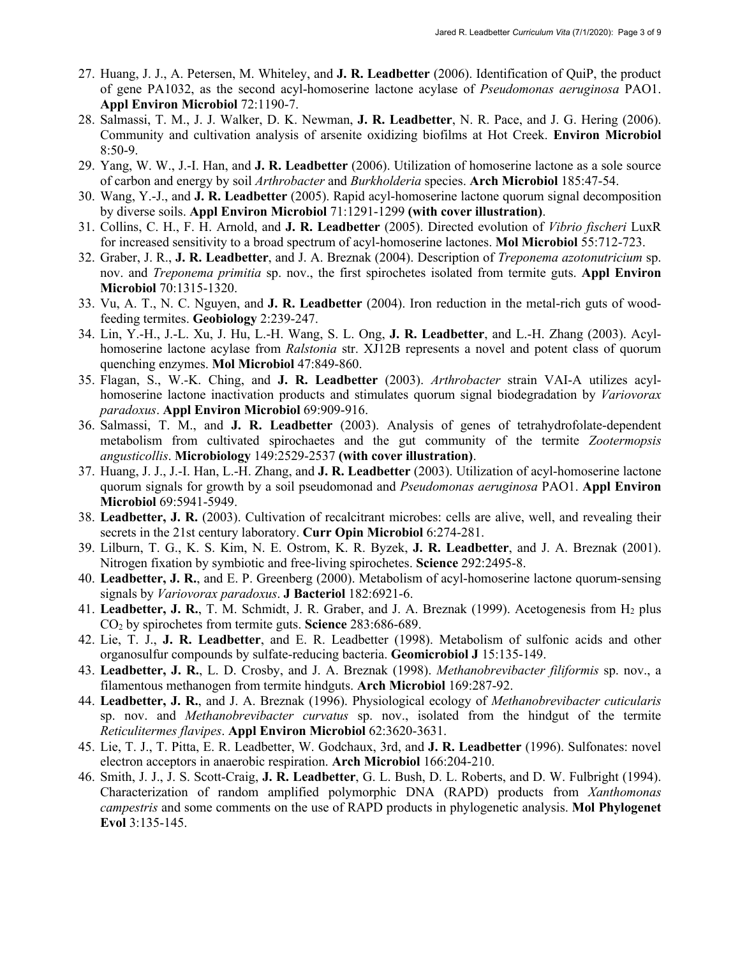- 27. Huang, J. J., A. Petersen, M. Whiteley, and **J. R. Leadbetter** (2006). Identification of QuiP, the product of gene PA1032, as the second acyl-homoserine lactone acylase of *Pseudomonas aeruginosa* PAO1. **Appl Environ Microbiol** 72:1190-7.
- 28. Salmassi, T. M., J. J. Walker, D. K. Newman, **J. R. Leadbetter**, N. R. Pace, and J. G. Hering (2006). Community and cultivation analysis of arsenite oxidizing biofilms at Hot Creek. **Environ Microbiol** 8:50-9.
- 29. Yang, W. W., J.-I. Han, and **J. R. Leadbetter** (2006). Utilization of homoserine lactone as a sole source of carbon and energy by soil *Arthrobacter* and *Burkholderia* species. **Arch Microbiol** 185:47-54.
- 30. Wang, Y.-J., and **J. R. Leadbetter** (2005). Rapid acyl-homoserine lactone quorum signal decomposition by diverse soils. **Appl Environ Microbiol** 71:1291-1299 **(with cover illustration)**.
- 31. Collins, C. H., F. H. Arnold, and **J. R. Leadbetter** (2005). Directed evolution of *Vibrio fischeri* LuxR for increased sensitivity to a broad spectrum of acyl-homoserine lactones. **Mol Microbiol** 55:712-723.
- 32. Graber, J. R., **J. R. Leadbetter**, and J. A. Breznak (2004). Description of *Treponema azotonutricium* sp. nov. and *Treponema primitia* sp. nov., the first spirochetes isolated from termite guts. **Appl Environ Microbiol** 70:1315-1320.
- 33. Vu, A. T., N. C. Nguyen, and **J. R. Leadbetter** (2004). Iron reduction in the metal-rich guts of woodfeeding termites. **Geobiology** 2:239-247.
- 34. Lin, Y.-H., J.-L. Xu, J. Hu, L.-H. Wang, S. L. Ong, **J. R. Leadbetter**, and L.-H. Zhang (2003). Acylhomoserine lactone acylase from *Ralstonia* str. XJ12B represents a novel and potent class of quorum quenching enzymes. **Mol Microbiol** 47:849-860.
- 35. Flagan, S., W.-K. Ching, and **J. R. Leadbetter** (2003). *Arthrobacter* strain VAI-A utilizes acylhomoserine lactone inactivation products and stimulates quorum signal biodegradation by *Variovorax paradoxus*. **Appl Environ Microbiol** 69:909-916.
- 36. Salmassi, T. M., and **J. R. Leadbetter** (2003). Analysis of genes of tetrahydrofolate-dependent metabolism from cultivated spirochaetes and the gut community of the termite *Zootermopsis angusticollis*. **Microbiology** 149:2529-2537 **(with cover illustration)**.
- 37. Huang, J. J., J.-I. Han, L.-H. Zhang, and **J. R. Leadbetter** (2003). Utilization of acyl-homoserine lactone quorum signals for growth by a soil pseudomonad and *Pseudomonas aeruginosa* PAO1. **Appl Environ Microbiol** 69:5941-5949.
- 38. **Leadbetter, J. R.** (2003). Cultivation of recalcitrant microbes: cells are alive, well, and revealing their secrets in the 21st century laboratory. **Curr Opin Microbiol** 6:274-281.
- 39. Lilburn, T. G., K. S. Kim, N. E. Ostrom, K. R. Byzek, **J. R. Leadbetter**, and J. A. Breznak (2001). Nitrogen fixation by symbiotic and free-living spirochetes. **Science** 292:2495-8.
- 40. **Leadbetter, J. R.**, and E. P. Greenberg (2000). Metabolism of acyl-homoserine lactone quorum-sensing signals by *Variovorax paradoxus*. **J Bacteriol** 182:6921-6.
- 41. Leadbetter, J. R., T. M. Schmidt, J. R. Graber, and J. A. Breznak (1999). Acetogenesis from H<sub>2</sub> plus CO2 by spirochetes from termite guts. **Science** 283:686-689.
- 42. Lie, T. J., **J. R. Leadbetter**, and E. R. Leadbetter (1998). Metabolism of sulfonic acids and other organosulfur compounds by sulfate-reducing bacteria. **Geomicrobiol J** 15:135-149.
- 43. **Leadbetter, J. R.**, L. D. Crosby, and J. A. Breznak (1998). *Methanobrevibacter filiformis* sp. nov., a filamentous methanogen from termite hindguts. **Arch Microbiol** 169:287-92.
- 44. **Leadbetter, J. R.**, and J. A. Breznak (1996). Physiological ecology of *Methanobrevibacter cuticularis*  sp. nov. and *Methanobrevibacter curvatus* sp. nov., isolated from the hindgut of the termite *Reticulitermes flavipes*. **Appl Environ Microbiol** 62:3620-3631.
- 45. Lie, T. J., T. Pitta, E. R. Leadbetter, W. Godchaux, 3rd, and **J. R. Leadbetter** (1996). Sulfonates: novel electron acceptors in anaerobic respiration. **Arch Microbiol** 166:204-210.
- 46. Smith, J. J., J. S. Scott-Craig, **J. R. Leadbetter**, G. L. Bush, D. L. Roberts, and D. W. Fulbright (1994). Characterization of random amplified polymorphic DNA (RAPD) products from *Xanthomonas campestris* and some comments on the use of RAPD products in phylogenetic analysis. **Mol Phylogenet Evol** 3:135-145.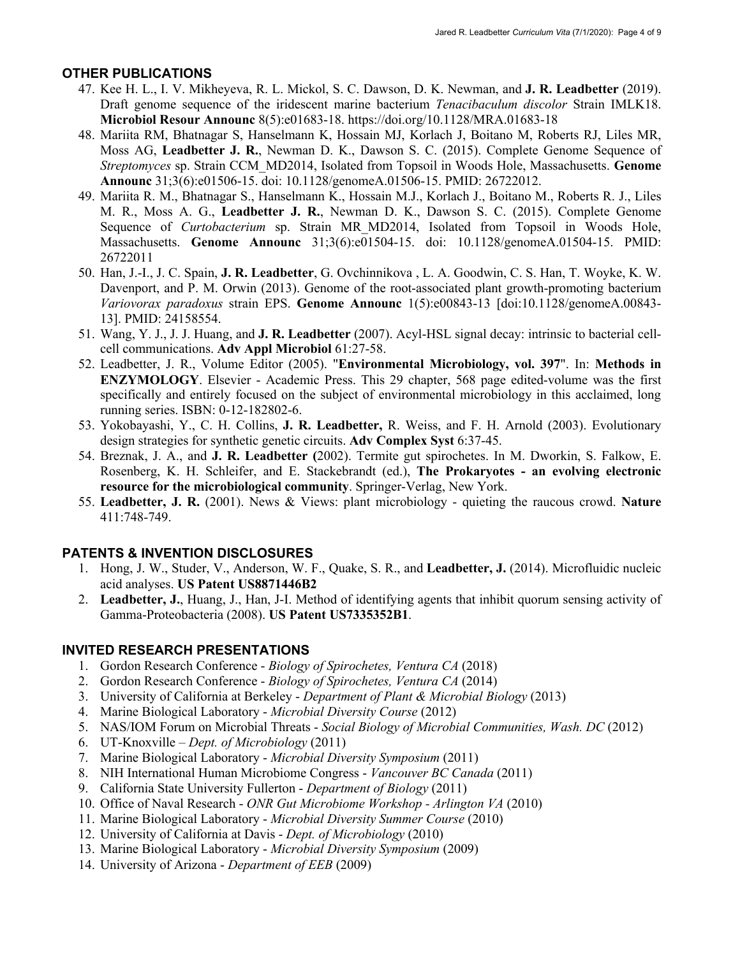### **OTHER PUBLICATIONS**

- 47. Kee H. L., I. V. Mikheyeva, R. L. Mickol, S. C. Dawson, D. K. Newman, and **J. R. Leadbetter** (2019). Draft genome sequence of the iridescent marine bacterium *Tenacibaculum discolor* Strain IMLK18. **Microbiol Resour Announc** 8(5):e01683-18. https://doi.org/10.1128/MRA.01683-18
- 48. Mariita RM, Bhatnagar S, Hanselmann K, Hossain MJ, Korlach J, Boitano M, Roberts RJ, Liles MR, Moss AG, **Leadbetter J. R.**, Newman D. K., Dawson S. C. (2015). Complete Genome Sequence of *Streptomyces* sp. Strain CCM\_MD2014, Isolated from Topsoil in Woods Hole, Massachusetts. **Genome Announc** 31;3(6):e01506-15. doi: 10.1128/genomeA.01506-15. PMID: 26722012.
- 49. Mariita R. M., Bhatnagar S., Hanselmann K., Hossain M.J., Korlach J., Boitano M., Roberts R. J., Liles M. R., Moss A. G., **Leadbetter J. R.**, Newman D. K., Dawson S. C. (2015). Complete Genome Sequence of *Curtobacterium* sp. Strain MR\_MD2014, Isolated from Topsoil in Woods Hole, Massachusetts. **Genome Announc** 31;3(6):e01504-15. doi: 10.1128/genomeA.01504-15. PMID: 26722011
- 50. Han, J.-I., J. C. Spain, **J. R. Leadbetter**, G. Ovchinnikova , L. A. Goodwin, C. S. Han, T. Woyke, K. W. Davenport, and P. M. Orwin (2013). Genome of the root-associated plant growth-promoting bacterium *Variovorax paradoxus* strain EPS. **Genome Announc** 1(5):e00843-13 [doi:10.1128/genomeA.00843- 13]. PMID: 24158554.
- 51. Wang, Y. J., J. J. Huang, and **J. R. Leadbetter** (2007). Acyl-HSL signal decay: intrinsic to bacterial cellcell communications. **Adv Appl Microbiol** 61:27-58.
- 52. Leadbetter, J. R., Volume Editor (2005). "**Environmental Microbiology, vol. 397**". In: **Methods in ENZYMOLOGY**. Elsevier - Academic Press. This 29 chapter, 568 page edited-volume was the first specifically and entirely focused on the subject of environmental microbiology in this acclaimed, long running series. ISBN: 0-12-182802-6.
- 53. Yokobayashi, Y., C. H. Collins, **J. R. Leadbetter,** R. Weiss, and F. H. Arnold (2003). Evolutionary design strategies for synthetic genetic circuits. **Adv Complex Syst** 6:37-45.
- 54. Breznak, J. A., and **J. R. Leadbetter (**2002). Termite gut spirochetes. In M. Dworkin, S. Falkow, E. Rosenberg, K. H. Schleifer, and E. Stackebrandt (ed.), **The Prokaryotes - an evolving electronic resource for the microbiological community**. Springer-Verlag, New York.
- 55. **Leadbetter, J. R.** (2001). News & Views: plant microbiology quieting the raucous crowd. **Nature** 411:748-749.

## **PATENTS & INVENTION DISCLOSURES**

- 1. Hong, J. W., Studer, V., Anderson, W. F., Quake, S. R., and **Leadbetter, J.** (2014). Microfluidic nucleic acid analyses. **US Patent US8871446B2**
- 2. **Leadbetter, J.**, Huang, J., Han, J-I. Method of identifying agents that inhibit quorum sensing activity of Gamma-Proteobacteria (2008). **US Patent US7335352B1**.

## **INVITED RESEARCH PRESENTATIONS**

- 1. Gordon Research Conference *Biology of Spirochetes, Ventura CA* (2018)
- 2. Gordon Research Conference *Biology of Spirochetes, Ventura CA* (2014)
- 3. University of California at Berkeley *Department of Plant & Microbial Biology* (2013)
- 4. Marine Biological Laboratory *Microbial Diversity Course* (2012)
- 5. NAS/IOM Forum on Microbial Threats *Social Biology of Microbial Communities, Wash. DC* (2012)
- 6. UT-Knoxville *Dept. of Microbiology* (2011)
- 7. Marine Biological Laboratory *Microbial Diversity Symposium* (2011)
- 8. NIH International Human Microbiome Congress *Vancouver BC Canada* (2011)
- 9. California State University Fullerton *Department of Biology* (2011)
- 10. Office of Naval Research *ONR Gut Microbiome Workshop - Arlington VA* (2010)
- 11. Marine Biological Laboratory *Microbial Diversity Summer Course* (2010)
- 12. University of California at Davis *Dept. of Microbiology* (2010)
- 13. Marine Biological Laboratory *Microbial Diversity Symposium* (2009)
- 14. University of Arizona *Department of EEB* (2009)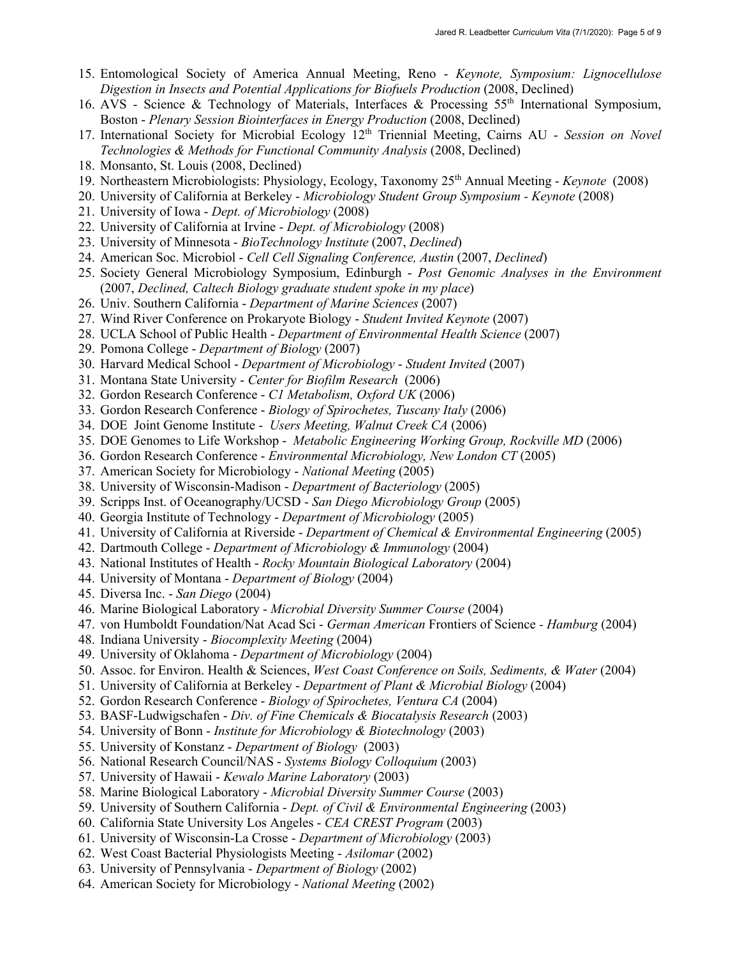- 15. Entomological Society of America Annual Meeting, Reno *Keynote, Symposium: Lignocellulose Digestion in Insects and Potential Applications for Biofuels Production* (2008, Declined)
- 16. AVS Science & Technology of Materials, Interfaces & Processing 55th International Symposium, Boston - *Plenary Session Biointerfaces in Energy Production* (2008, Declined)
- 17. International Society for Microbial Ecology 12th Triennial Meeting, Cairns AU *Session on Novel Technologies & Methods for Functional Community Analysis (2008, Declined)*
- 18. Monsanto, St. Louis (2008, Declined)
- 19. Northeastern Microbiologists: Physiology, Ecology, Taxonomy 25th Annual Meeting *Keynote* (2008)
- 20. University of California at Berkeley *Microbiology Student Group Symposium - Keynote* (2008)
- 21. University of Iowa *Dept. of Microbiology* (2008)
- 22. University of California at Irvine *Dept. of Microbiology* (2008)
- 23. University of Minnesota *BioTechnology Institute* (2007, *Declined*)
- 24. American Soc. Microbiol *Cell Cell Signaling Conference, Austin* (2007, *Declined*)
- 25. Society General Microbiology Symposium, Edinburgh *Post Genomic Analyses in the Environment* (2007, *Declined, Caltech Biology graduate student spoke in my place*)
- 26. Univ. Southern California *Department of Marine Sciences* (2007)
- 27. Wind River Conference on Prokaryote Biology *Student Invited Keynote* (2007)
- 28. UCLA School of Public Health *Department of Environmental Health Science* (2007)
- 29. Pomona College *Department of Biology* (2007)
- 30. Harvard Medical School *Department of Microbiology Student Invited* (2007)
- 31. Montana State University *Center for Biofilm Research* (2006)
- 32. Gordon Research Conference *C1 Metabolism, Oxford UK* (2006)
- 33. Gordon Research Conference *Biology of Spirochetes, Tuscany Italy* (2006)
- 34. DOE Joint Genome Institute *Users Meeting, Walnut Creek CA* (2006)
- 35. DOE Genomes to Life Workshop *Metabolic Engineering Working Group, Rockville MD* (2006)
- 36. Gordon Research Conference *Environmental Microbiology, New London CT* (2005)
- 37. American Society for Microbiology *National Meeting* (2005)
- 38. University of Wisconsin-Madison *Department of Bacteriology* (2005)
- 39. Scripps Inst. of Oceanography/UCSD *San Diego Microbiology Group* (2005)
- 40. Georgia Institute of Technology *Department of Microbiology* (2005)
- 41. University of California at Riverside *Department of Chemical & Environmental Engineering* (2005)
- 42. Dartmouth College *Department of Microbiology & Immunology* (2004)
- 43. National Institutes of Health *Rocky Mountain Biological Laboratory* (2004)
- 44. University of Montana *Department of Biology* (2004)
- 45. Diversa Inc. *San Diego* (2004)
- 46. Marine Biological Laboratory *Microbial Diversity Summer Course* (2004)
- 47. von Humboldt Foundation/Nat Acad Sci *German American* Frontiers of Science *- Hamburg* (2004)
- 48. Indiana University *Biocomplexity Meeting* (2004)
- 49. University of Oklahoma *Department of Microbiology* (2004)
- 50. Assoc. for Environ. Health & Sciences, *West Coast Conference on Soils, Sediments, & Water* (2004)
- 51. University of California at Berkeley *Department of Plant & Microbial Biology* (2004)
- 52. Gordon Research Conference *Biology of Spirochetes, Ventura CA* (2004)
- 53. BASF-Ludwigschafen *Div. of Fine Chemicals & Biocatalysis Research* (2003)
- 54. University of Bonn *Institute for Microbiology & Biotechnology* (2003)
- 55. University of Konstanz *Department of Biology* (2003)
- 56. National Research Council/NAS *Systems Biology Colloquium* (2003)
- 57. University of Hawaii *Kewalo Marine Laboratory* (2003)
- 58. Marine Biological Laboratory *Microbial Diversity Summer Course* (2003)
- 59. University of Southern California *Dept. of Civil & Environmental Engineering* (2003)
- 60. California State University Los Angeles *CEA CREST Program* (2003)
- 61. University of Wisconsin-La Crosse *Department of Microbiology* (2003)
- 62. West Coast Bacterial Physiologists Meeting *Asilomar* (2002)
- 63. University of Pennsylvania *Department of Biology* (2002)
- 64. American Society for Microbiology *National Meeting* (2002)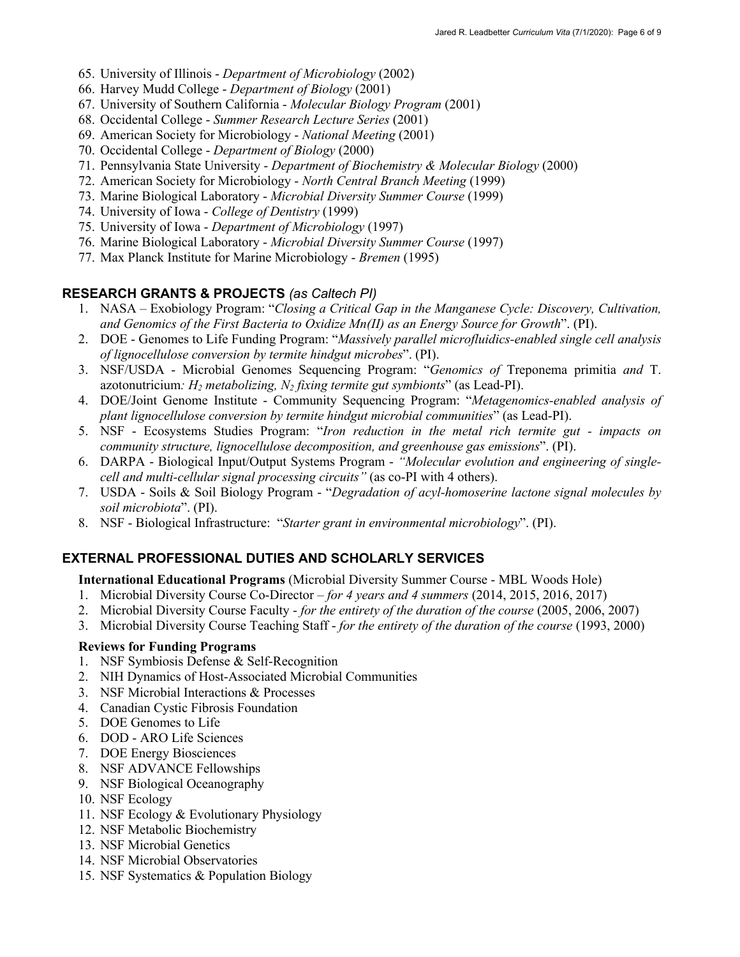- 65. University of Illinois *Department of Microbiology* (2002)
- 66. Harvey Mudd College *Department of Biology* (2001)
- 67. University of Southern California *Molecular Biology Program* (2001)
- 68. Occidental College *Summer Research Lecture Series* (2001)
- 69. American Society for Microbiology *National Meeting* (2001)
- 70. Occidental College *Department of Biology* (2000)
- 71. Pennsylvania State University *Department of Biochemistry & Molecular Biology* (2000)
- 72. American Society for Microbiology *North Central Branch Meeting* (1999)
- 73. Marine Biological Laboratory *Microbial Diversity Summer Course* (1999)
- 74. University of Iowa *College of Dentistry* (1999)
- 75. University of Iowa *Department of Microbiology* (1997)
- 76. Marine Biological Laboratory *Microbial Diversity Summer Course* (1997)
- 77. Max Planck Institute for Marine Microbiology *Bremen* (1995)

## **RESEARCH GRANTS & PROJECTS** *(as Caltech PI)*

- 1. NASA Exobiology Program: "*Closing a Critical Gap in the Manganese Cycle: Discovery, Cultivation, and Genomics of the First Bacteria to Oxidize Mn(II) as an Energy Source for Growth*". (PI).
- 2. DOE Genomes to Life Funding Program: "*Massively parallel microfluidics-enabled single cell analysis of lignocellulose conversion by termite hindgut microbes*". (PI).
- 3. NSF/USDA Microbial Genomes Sequencing Program: "*Genomics of* Treponema primitia *and* T. azotonutricium*: H2 metabolizing, N2 fixing termite gut symbionts*" (as Lead-PI).
- 4. DOE/Joint Genome Institute Community Sequencing Program: "*Metagenomics-enabled analysis of plant lignocellulose conversion by termite hindgut microbial communities*" (as Lead-PI).
- 5. NSF Ecosystems Studies Program: "*Iron reduction in the metal rich termite gut - impacts on community structure, lignocellulose decomposition, and greenhouse gas emissions*". (PI).
- 6. DARPA Biological Input/Output Systems Program *"Molecular evolution and engineering of singlecell and multi-cellular signal processing circuits"* (as co-PI with 4 others).
- 7. USDA Soils & Soil Biology Program "*Degradation of acyl-homoserine lactone signal molecules by soil microbiota*". (PI).
- 8. NSF Biological Infrastructure: "*Starter grant in environmental microbiology*". (PI).

# **EXTERNAL PROFESSIONAL DUTIES AND SCHOLARLY SERVICES**

#### **International Educational Programs** (Microbial Diversity Summer Course - MBL Woods Hole)

- 1. Microbial Diversity Course Co-Director *for 4 years and 4 summers* (2014, 2015, 2016, 2017)
- 2. Microbial Diversity Course Faculty *for the entirety of the duration of the course* (2005, 2006, 2007)
- 3. Microbial Diversity Course Teaching Staff *for the entirety of the duration of the course* (1993, 2000)

## **Reviews for Funding Programs**

- 1. NSF Symbiosis Defense & Self-Recognition
- 2. NIH Dynamics of Host-Associated Microbial Communities
- 3. NSF Microbial Interactions & Processes
- 4. Canadian Cystic Fibrosis Foundation
- 5. DOE Genomes to Life
- 6. DOD ARO Life Sciences
- 7. DOE Energy Biosciences
- 8. NSF ADVANCE Fellowships
- 9. NSF Biological Oceanography
- 10. NSF Ecology
- 11. NSF Ecology & Evolutionary Physiology
- 12. NSF Metabolic Biochemistry
- 13. NSF Microbial Genetics
- 14. NSF Microbial Observatories
- 15. NSF Systematics & Population Biology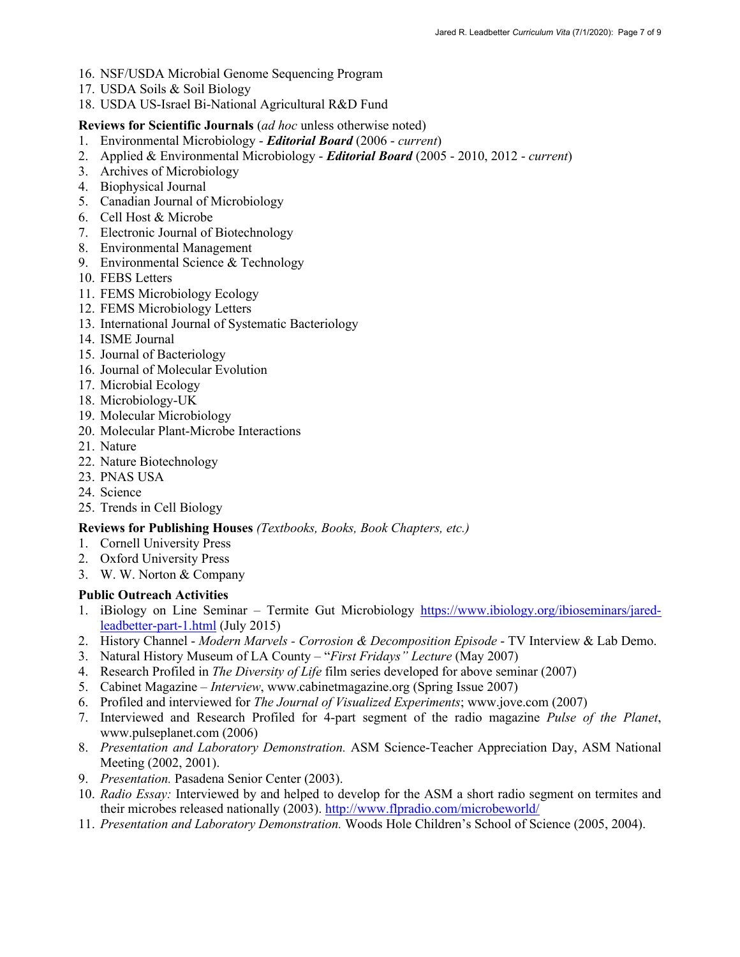- 16. NSF/USDA Microbial Genome Sequencing Program
- 17. USDA Soils & Soil Biology
- 18. USDA US-Israel Bi-National Agricultural R&D Fund

### **Reviews for Scientific Journals** (*ad hoc* unless otherwise noted)

- 1. Environmental Microbiology *Editorial Board* (2006 *current*)
- 2. Applied & Environmental Microbiology *Editorial Board* (2005 2010, 2012 *current*)
- 3. Archives of Microbiology
- 4. Biophysical Journal
- 5. Canadian Journal of Microbiology
- 6. Cell Host & Microbe
- 7. Electronic Journal of Biotechnology
- 8. Environmental Management
- 9. Environmental Science & Technology
- 10. FEBS Letters
- 11. FEMS Microbiology Ecology
- 12. FEMS Microbiology Letters
- 13. International Journal of Systematic Bacteriology
- 14. ISME Journal
- 15. Journal of Bacteriology
- 16. Journal of Molecular Evolution
- 17. Microbial Ecology
- 18. Microbiology-UK
- 19. Molecular Microbiology
- 20. Molecular Plant-Microbe Interactions
- 21. Nature
- 22. Nature Biotechnology
- 23. PNAS USA
- 24. Science
- 25. Trends in Cell Biology

#### **Reviews for Publishing Houses** *(Textbooks, Books, Book Chapters, etc.)*

- 1. Cornell University Press
- 2. Oxford University Press
- 3. W. W. Norton & Company

#### **Public Outreach Activities**

- 1. iBiology on Line Seminar Termite Gut Microbiology https://www.ibiology.org/ibioseminars/jaredleadbetter-part-1.html (July 2015)
- 2. History Channel *Modern Marvels - Corrosion & Decomposition Episode* TV Interview & Lab Demo.
- 3. Natural History Museum of LA County "*First Fridays" Lecture* (May 2007)
- 4. Research Profiled in *The Diversity of Life* film series developed for above seminar (2007)
- 5. Cabinet Magazine *Interview*, www.cabinetmagazine.org (Spring Issue 2007)
- 6. Profiled and interviewed for *The Journal of Visualized Experiments*; www.jove.com (2007)
- 7. Interviewed and Research Profiled for 4-part segment of the radio magazine *Pulse of the Planet*, www.pulseplanet.com (2006)
- 8. *Presentation and Laboratory Demonstration.* ASM Science-Teacher Appreciation Day, ASM National Meeting (2002, 2001).
- 9. *Presentation.* Pasadena Senior Center (2003).
- 10. *Radio Essay:* Interviewed by and helped to develop for the ASM a short radio segment on termites and their microbes released nationally (2003). http://www.flpradio.com/microbeworld/
- 11. *Presentation and Laboratory Demonstration.* Woods Hole Children's School of Science (2005, 2004).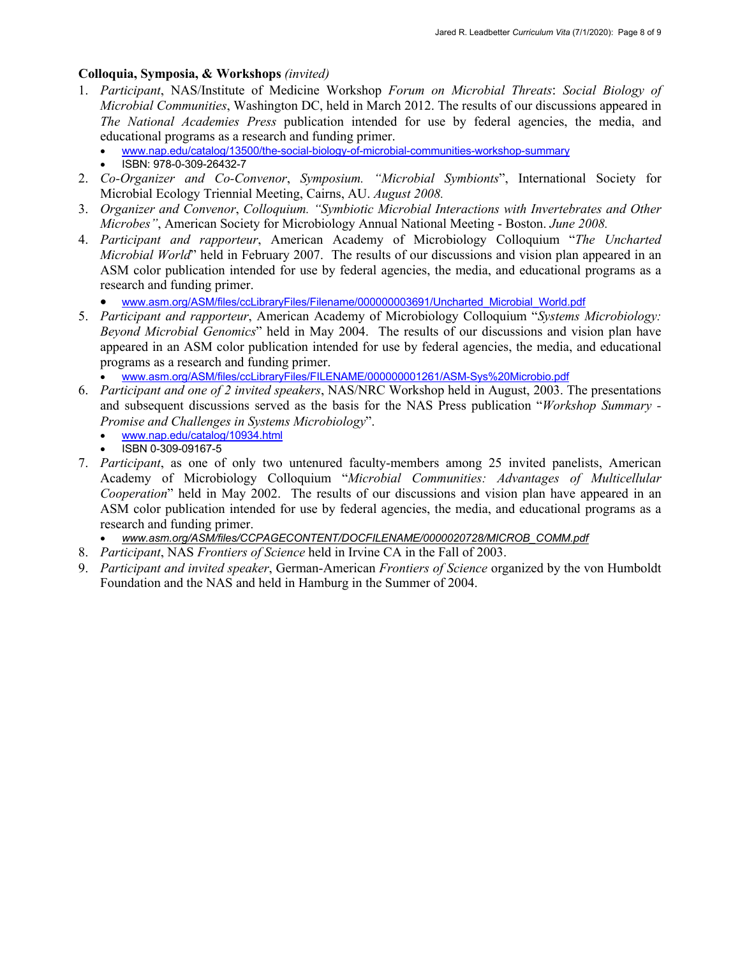#### **Colloquia, Symposia, & Workshops** *(invited)*

- 1. *Participant*, NAS/Institute of Medicine Workshop *Forum on Microbial Threats*: *Social Biology of Microbial Communities*, Washington DC, held in March 2012. The results of our discussions appeared in *The National Academies Press* publication intended for use by federal agencies, the media, and educational programs as a research and funding primer.
	- www.nap.edu/catalog/13500/the-social-biology-of-microbial-communities-workshop-summary
	- ISBN: 978-0-309-26432-7
- 2. *Co-Organizer and Co-Convenor*, *Symposium. "Microbial Symbionts*", International Society for Microbial Ecology Triennial Meeting, Cairns, AU. *August 2008.*
- 3. *Organizer and Convenor*, *Colloquium. "Symbiotic Microbial Interactions with Invertebrates and Other Microbes"*, American Society for Microbiology Annual National Meeting - Boston. *June 2008.*
- 4. *Participant and rapporteur*, American Academy of Microbiology Colloquium "*The Uncharted Microbial World*" held in February 2007. The results of our discussions and vision plan appeared in an ASM color publication intended for use by federal agencies, the media, and educational programs as a research and funding primer.
	- www.asm.org/ASM/files/ccLibraryFiles/Filename/000000003691/Uncharted\_Microbial\_World.pdf
- 5. *Participant and rapporteur*, American Academy of Microbiology Colloquium "*Systems Microbiology: Beyond Microbial Genomics*" held in May 2004. The results of our discussions and vision plan have appeared in an ASM color publication intended for use by federal agencies, the media, and educational programs as a research and funding primer.
	- www.asm.org/ASM/files/ccLibraryFiles/FILENAME/000000001261/ASM-Sys%20Microbio.pdf
- 6. *Participant and one of 2 invited speakers*, NAS/NRC Workshop held in August, 2003. The presentations and subsequent discussions served as the basis for the NAS Press publication "*Workshop Summary - Promise and Challenges in Systems Microbiology*".
	- www.nap.edu/catalog/10934.html
	- ISBN 0-309-09167-5
- 7. *Participant*, as one of only two untenured faculty-members among 25 invited panelists, American Academy of Microbiology Colloquium "*Microbial Communities: Advantages of Multicellular Cooperation*" held in May 2002. The results of our discussions and vision plan have appeared in an ASM color publication intended for use by federal agencies, the media, and educational programs as a research and funding primer.
	- *www.asm.org/ASM/files/CCPAGECONTENT/DOCFILENAME/0000020728/MICROB\_COMM.pdf*
- 8. *Participant*, NAS *Frontiers of Science* held in Irvine CA in the Fall of 2003.
- 9. *Participant and invited speaker*, German-American *Frontiers of Science* organized by the von Humboldt Foundation and the NAS and held in Hamburg in the Summer of 2004.